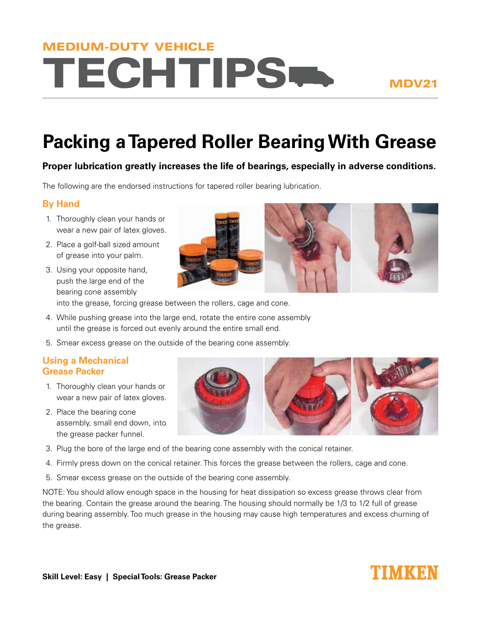# **TECHTIPS-**MEDIUM-DUTY VEHICLE

# **Packing a Tapered Roller Bearing With Grease**

## **Proper lubrication greatly increases the life of bearings, especially in adverse conditions.**

The following are the endorsed instructions for tapered roller bearing lubrication.

### **By Hand**

- 1. Thoroughly clean your hands or wear a new pair of latex gloves.
- 2. Place a golf-ball sized amount of grease into your palm.
- 3. Using your opposite hand, push the large end of the bearing cone assembly



into the grease, forcing grease between the rollers, cage and cone.

- 4. While pushing grease into the large end, rotate the entire cone assembly until the grease is forced out evenly around the entire small end.
- 5. Smear excess grease on the outside of the bearing cone assembly.

### **Using a Mechanical Grease Packer**

- 1. Thoroughly clean your hands or wear a new pair of latex gloves.
- 2. Place the bearing cone assembly, small end down, into the grease packer funnel.
- 3. Plug the bore of the large end of the bearing cone assembly with the conical retainer.
- 4. Firmly press down on the conical retainer. This forces the grease between the rollers, cage and cone.
- 5. Smear excess grease on the outside of the bearing cone assembly.

NOTE: You should allow enough space in the housing for heat dissipation so excess grease throws clear from the bearing. Contain the grease around the bearing. The housing should normally be 1/3 to 1/2 full of grease during bearing assembly. Too much grease in the housing may cause high temperatures and excess churning of the grease.